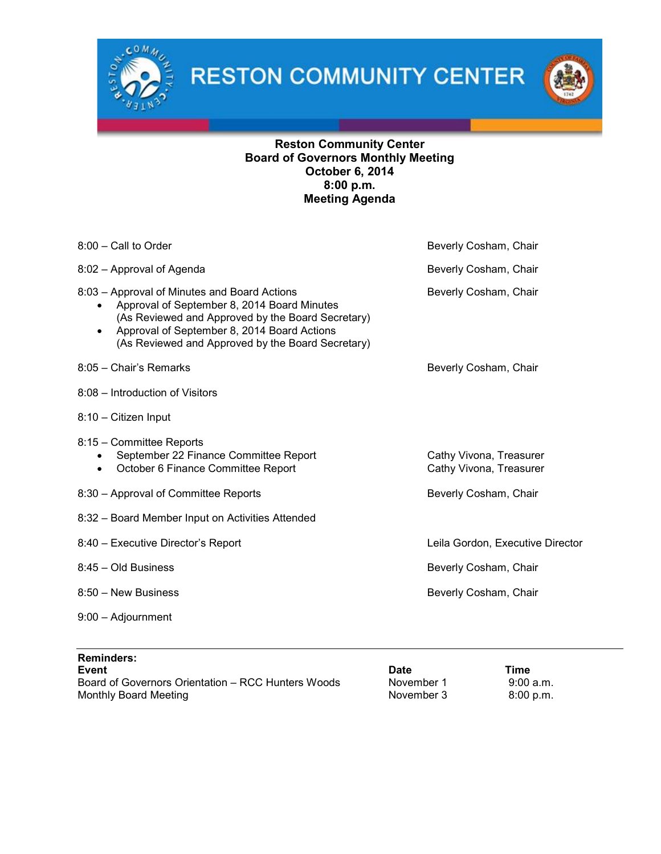

**RESTON COMMUNITY CENTER** 



## Reston Community Center Board of Governors Monthly Meeting October 6, 2014 8:00 p.m. Meeting Agenda

| $8:00$ – Call to Order                                                                                                                                                                                                                                            | Beverly Cosham, Chair                              |
|-------------------------------------------------------------------------------------------------------------------------------------------------------------------------------------------------------------------------------------------------------------------|----------------------------------------------------|
| 8:02 - Approval of Agenda                                                                                                                                                                                                                                         | Beverly Cosham, Chair                              |
| 8:03 - Approval of Minutes and Board Actions<br>Approval of September 8, 2014 Board Minutes<br>(As Reviewed and Approved by the Board Secretary)<br>Approval of September 8, 2014 Board Actions<br>$\bullet$<br>(As Reviewed and Approved by the Board Secretary) | Beverly Cosham, Chair                              |
| 8:05 - Chair's Remarks                                                                                                                                                                                                                                            | Beverly Cosham, Chair                              |
| 8:08 - Introduction of Visitors                                                                                                                                                                                                                                   |                                                    |
| 8:10 - Citizen Input                                                                                                                                                                                                                                              |                                                    |
| 8:15 - Committee Reports<br>September 22 Finance Committee Report<br>October 6 Finance Committee Report<br>$\bullet$                                                                                                                                              | Cathy Vivona, Treasurer<br>Cathy Vivona, Treasurer |
| 8:30 - Approval of Committee Reports                                                                                                                                                                                                                              | Beverly Cosham, Chair                              |
| 8:32 - Board Member Input on Activities Attended                                                                                                                                                                                                                  |                                                    |
| 8:40 - Executive Director's Report                                                                                                                                                                                                                                | Leila Gordon, Executive Director                   |
| 8:45 - Old Business                                                                                                                                                                                                                                               | Beverly Cosham, Chair                              |
| 8:50 - New Business                                                                                                                                                                                                                                               | Beverly Cosham, Chair                              |
| $9:00 -$ Adjournment                                                                                                                                                                                                                                              |                                                    |
|                                                                                                                                                                                                                                                                   |                                                    |

| <b>Reminders:</b>                                  |            |             |
|----------------------------------------------------|------------|-------------|
| <b>Event</b>                                       | Date       | Time        |
| Board of Governors Orientation – RCC Hunters Woods | November 1 | 9:00a.m.    |
| Monthly Board Meeting                              | November 3 | $8:00$ p.m. |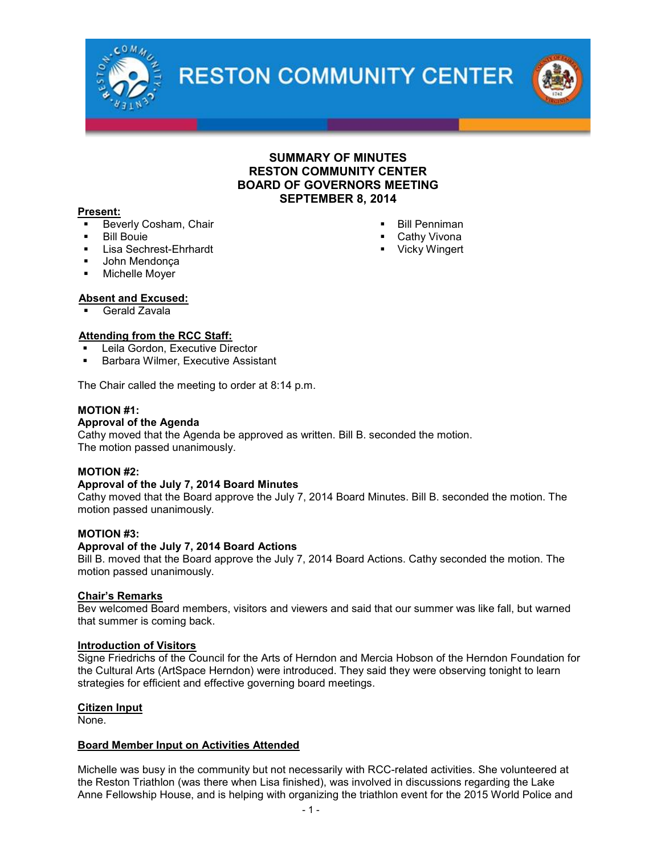

**RESTON COMMUNITY CENTER** 

## SUMMARY OF MINUTES RESTON COMMUNITY CENTER BOARD OF GOVERNORS MEETING SEPTEMBER 8, 2014

 Bill Penniman Cathy Vivona **•** Vicky Wingert

#### Present:

- **Beverly Cosham, Chair**
- Bill Bouie
- **Lisa Sechrest-Ehrhardt**
- John Mendonça
- Michelle Moyer

## Absent and Excused:

Gerald Zavala

## Attending from the RCC Staff:

- Leila Gordon, Executive Director
- **Barbara Wilmer, Executive Assistant**

The Chair called the meeting to order at 8:14 p.m.

#### MOTION #1:

#### Approval of the Agenda

Cathy moved that the Agenda be approved as written. Bill B. seconded the motion. The motion passed unanimously.

#### MOTION #2:

#### Approval of the July 7, 2014 Board Minutes

Cathy moved that the Board approve the July 7, 2014 Board Minutes. Bill B. seconded the motion. The motion passed unanimously.

### MOTION #3:

#### Approval of the July 7, 2014 Board Actions

Bill B. moved that the Board approve the July 7, 2014 Board Actions. Cathy seconded the motion. The motion passed unanimously.

#### Chair's Remarks

Bev welcomed Board members, visitors and viewers and said that our summer was like fall, but warned that summer is coming back.

#### Introduction of Visitors

Signe Friedrichs of the Council for the Arts of Herndon and Mercia Hobson of the Herndon Foundation for the Cultural Arts (ArtSpace Herndon) were introduced. They said they were observing tonight to learn strategies for efficient and effective governing board meetings.

#### Citizen Input

None.

#### Board Member Input on Activities Attended

Michelle was busy in the community but not necessarily with RCC-related activities. She volunteered at the Reston Triathlon (was there when Lisa finished), was involved in discussions regarding the Lake Anne Fellowship House, and is helping with organizing the triathlon event for the 2015 World Police and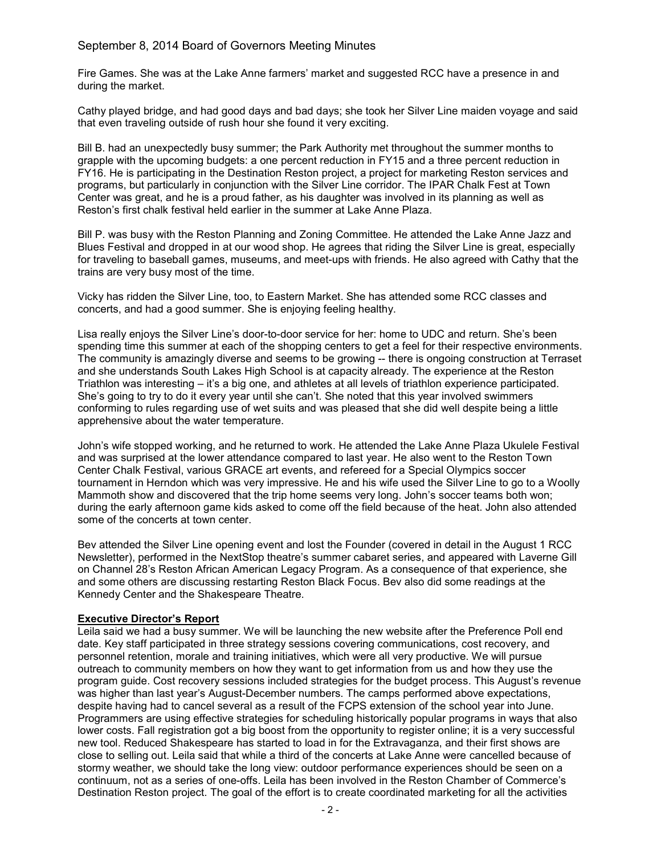## September 8, 2014 Board of Governors Meeting Minutes

Fire Games. She was at the Lake Anne farmers' market and suggested RCC have a presence in and during the market.

Cathy played bridge, and had good days and bad days; she took her Silver Line maiden voyage and said that even traveling outside of rush hour she found it very exciting.

Bill B. had an unexpectedly busy summer; the Park Authority met throughout the summer months to grapple with the upcoming budgets: a one percent reduction in FY15 and a three percent reduction in FY16. He is participating in the Destination Reston project, a project for marketing Reston services and programs, but particularly in conjunction with the Silver Line corridor. The IPAR Chalk Fest at Town Center was great, and he is a proud father, as his daughter was involved in its planning as well as Reston's first chalk festival held earlier in the summer at Lake Anne Plaza.

Bill P. was busy with the Reston Planning and Zoning Committee. He attended the Lake Anne Jazz and Blues Festival and dropped in at our wood shop. He agrees that riding the Silver Line is great, especially for traveling to baseball games, museums, and meet-ups with friends. He also agreed with Cathy that the trains are very busy most of the time.

Vicky has ridden the Silver Line, too, to Eastern Market. She has attended some RCC classes and concerts, and had a good summer. She is enjoying feeling healthy.

Lisa really enjoys the Silver Line's door-to-door service for her: home to UDC and return. She's been spending time this summer at each of the shopping centers to get a feel for their respective environments. The community is amazingly diverse and seems to be growing -- there is ongoing construction at Terraset and she understands South Lakes High School is at capacity already. The experience at the Reston Triathlon was interesting – it's a big one, and athletes at all levels of triathlon experience participated. She's going to try to do it every year until she can't. She noted that this year involved swimmers conforming to rules regarding use of wet suits and was pleased that she did well despite being a little apprehensive about the water temperature.

John's wife stopped working, and he returned to work. He attended the Lake Anne Plaza Ukulele Festival and was surprised at the lower attendance compared to last year. He also went to the Reston Town Center Chalk Festival, various GRACE art events, and refereed for a Special Olympics soccer tournament in Herndon which was very impressive. He and his wife used the Silver Line to go to a Woolly Mammoth show and discovered that the trip home seems very long. John's soccer teams both won; during the early afternoon game kids asked to come off the field because of the heat. John also attended some of the concerts at town center.

Bev attended the Silver Line opening event and lost the Founder (covered in detail in the August 1 RCC Newsletter), performed in the NextStop theatre's summer cabaret series, and appeared with Laverne Gill on Channel 28's Reston African American Legacy Program. As a consequence of that experience, she and some others are discussing restarting Reston Black Focus. Bev also did some readings at the Kennedy Center and the Shakespeare Theatre.

#### Executive Director's Report

Leila said we had a busy summer. We will be launching the new website after the Preference Poll end date. Key staff participated in three strategy sessions covering communications, cost recovery, and personnel retention, morale and training initiatives, which were all very productive. We will pursue outreach to community members on how they want to get information from us and how they use the program guide. Cost recovery sessions included strategies for the budget process. This August's revenue was higher than last year's August-December numbers. The camps performed above expectations, despite having had to cancel several as a result of the FCPS extension of the school year into June. Programmers are using effective strategies for scheduling historically popular programs in ways that also lower costs. Fall registration got a big boost from the opportunity to register online; it is a very successful new tool. Reduced Shakespeare has started to load in for the Extravaganza, and their first shows are close to selling out. Leila said that while a third of the concerts at Lake Anne were cancelled because of stormy weather, we should take the long view: outdoor performance experiences should be seen on a continuum, not as a series of one-offs. Leila has been involved in the Reston Chamber of Commerce's Destination Reston project. The goal of the effort is to create coordinated marketing for all the activities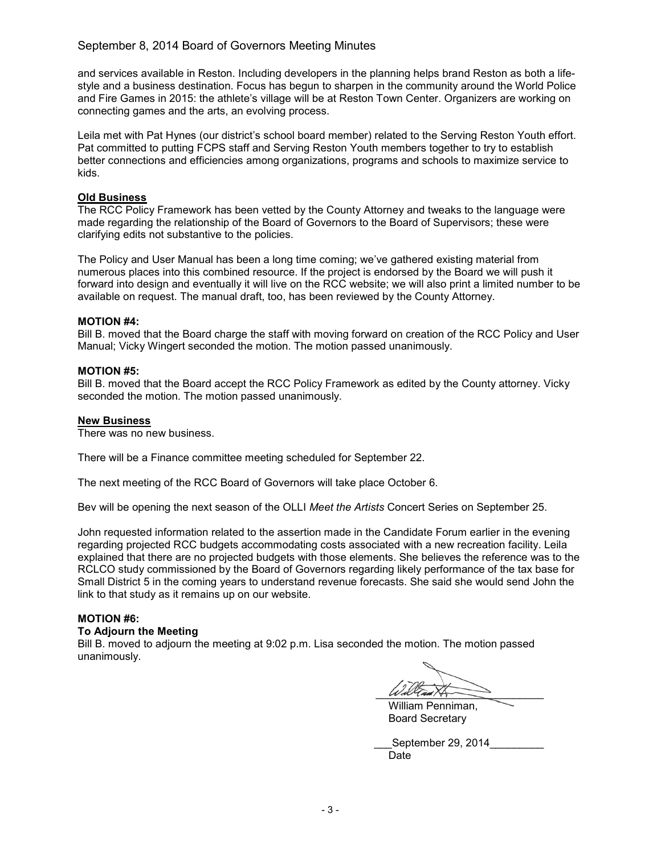## September 8, 2014 Board of Governors Meeting Minutes

and services available in Reston. Including developers in the planning helps brand Reston as both a lifestyle and a business destination. Focus has begun to sharpen in the community around the World Police and Fire Games in 2015: the athlete's village will be at Reston Town Center. Organizers are working on connecting games and the arts, an evolving process.

Leila met with Pat Hynes (our district's school board member) related to the Serving Reston Youth effort. Pat committed to putting FCPS staff and Serving Reston Youth members together to try to establish better connections and efficiencies among organizations, programs and schools to maximize service to kids.

## Old Business

The RCC Policy Framework has been vetted by the County Attorney and tweaks to the language were made regarding the relationship of the Board of Governors to the Board of Supervisors; these were clarifying edits not substantive to the policies.

The Policy and User Manual has been a long time coming; we've gathered existing material from numerous places into this combined resource. If the project is endorsed by the Board we will push it forward into design and eventually it will live on the RCC website; we will also print a limited number to be available on request. The manual draft, too, has been reviewed by the County Attorney.

## MOTION #4:

Bill B. moved that the Board charge the staff with moving forward on creation of the RCC Policy and User Manual; Vicky Wingert seconded the motion. The motion passed unanimously.

## MOTION #5:

Bill B. moved that the Board accept the RCC Policy Framework as edited by the County attorney. Vicky seconded the motion. The motion passed unanimously.

## New Business

There was no new business.

There will be a Finance committee meeting scheduled for September 22.

The next meeting of the RCC Board of Governors will take place October 6.

Bev will be opening the next season of the OLLI *Meet the Artists* Concert Series on September 25.

John requested information related to the assertion made in the Candidate Forum earlier in the evening regarding projected RCC budgets accommodating costs associated with a new recreation facility. Leila explained that there are no projected budgets with those elements. She believes the reference was to the RCLCO study commissioned by the Board of Governors regarding likely performance of the tax base for Small District 5 in the coming years to understand revenue forecasts. She said she would send John the link to that study as it remains up on our website.

#### MOTION #6:

#### To Adjourn the Meeting

Bill B. moved to adjourn the meeting at 9:02 p.m. Lisa seconded the motion. The motion passed unanimously.

 $W$ d Tam  $\overline{\phantom{a}}$ 

William Penniman, Board Secretary

| September 29, 2014 |  |
|--------------------|--|
| Date               |  |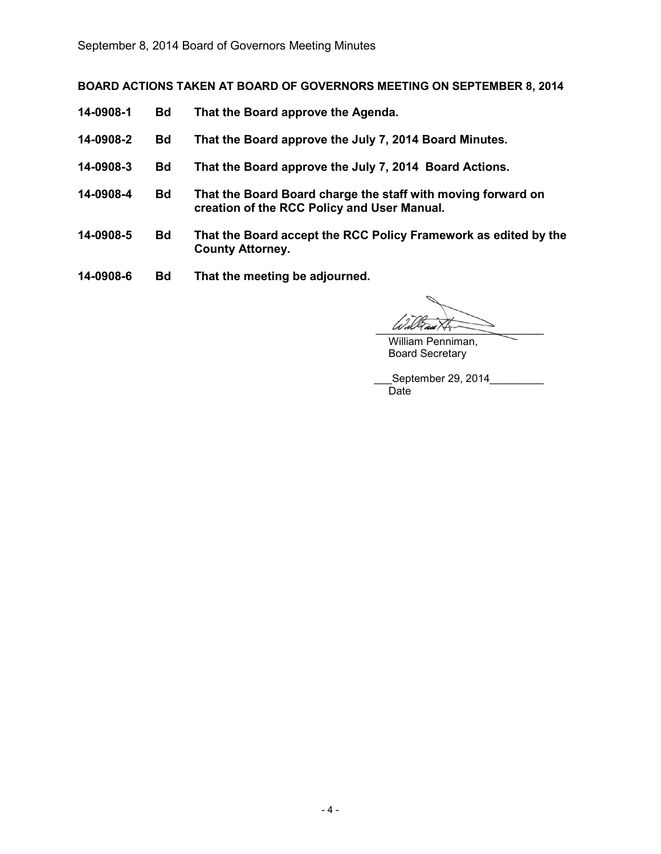BOARD ACTIONS TAKEN AT BOARD OF GOVERNORS MEETING ON SEPTEMBER 8, 2014

- 14-0908-1 Bd That the Board approve the Agenda.
- 14-0908-2 Bd That the Board approve the July 7, 2014 Board Minutes.
- 14-0908-3 Bd That the Board approve the July 7, 2014 Board Actions.
- 14-0908-4 Bd That the Board Board charge the staff with moving forward on creation of the RCC Policy and User Manual.
- 14-0908-5 Bd That the Board accept the RCC Policy Framework as edited by the County Attorney.
- 14-0908-6 Bd That the meeting be adjourned.

 $WdV$ am $N$ 

William Penniman, Board Secretary

\_\_\_September 29, 2014\_\_\_\_\_\_\_\_\_ Date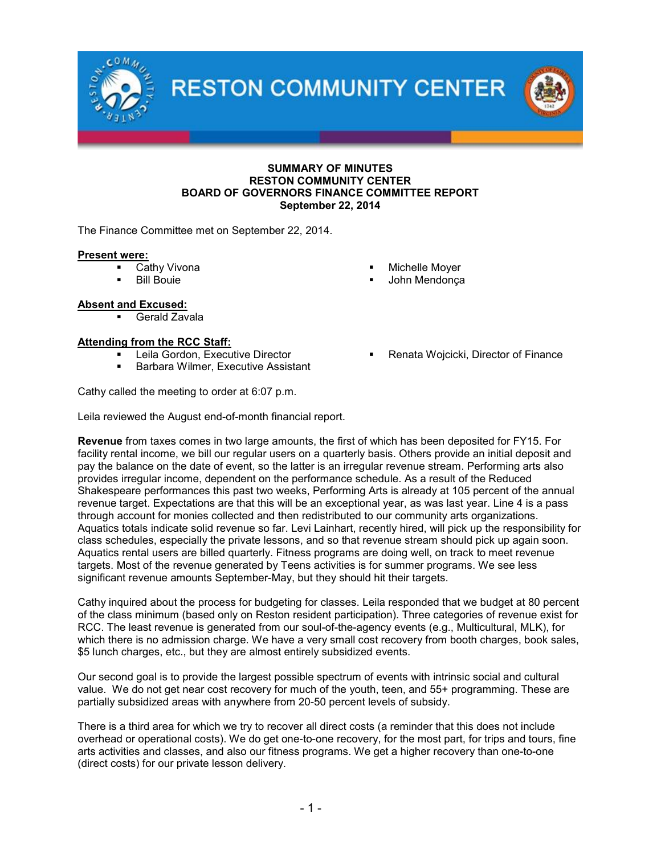**RESTON COMMUNITY CENTER** 



#### SUMMARY OF MINUTES RESTON COMMUNITY CENTER BOARD OF GOVERNORS FINANCE COMMITTEE REPORT September 22, 2014

The Finance Committee met on September 22, 2014.

#### Present were:

- Cathy Vivona
- Bill Bouie

## Absent and Excused:

Gerald Zavala

## Attending from the RCC Staff:

- Leila Gordon, Executive Director
- **Barbara Wilmer, Executive Assistant**

Cathy called the meeting to order at 6:07 p.m.

Leila reviewed the August end-of-month financial report.

Revenue from taxes comes in two large amounts, the first of which has been deposited for FY15. For facility rental income, we bill our regular users on a quarterly basis. Others provide an initial deposit and pay the balance on the date of event, so the latter is an irregular revenue stream. Performing arts also provides irregular income, dependent on the performance schedule. As a result of the Reduced Shakespeare performances this past two weeks, Performing Arts is already at 105 percent of the annual revenue target. Expectations are that this will be an exceptional year, as was last year. Line 4 is a pass through account for monies collected and then redistributed to our community arts organizations. Aquatics totals indicate solid revenue so far. Levi Lainhart, recently hired, will pick up the responsibility for class schedules, especially the private lessons, and so that revenue stream should pick up again soon. Aquatics rental users are billed quarterly. Fitness programs are doing well, on track to meet revenue targets. Most of the revenue generated by Teens activities is for summer programs. We see less significant revenue amounts September-May, but they should hit their targets.

Cathy inquired about the process for budgeting for classes. Leila responded that we budget at 80 percent of the class minimum (based only on Reston resident participation). Three categories of revenue exist for RCC. The least revenue is generated from our soul-of-the-agency events (e.g., Multicultural, MLK), for which there is no admission charge. We have a very small cost recovery from booth charges, book sales, \$5 lunch charges, etc., but they are almost entirely subsidized events.

Our second goal is to provide the largest possible spectrum of events with intrinsic social and cultural value. We do not get near cost recovery for much of the youth, teen, and 55+ programming. These are partially subsidized areas with anywhere from 20-50 percent levels of subsidy.

There is a third area for which we try to recover all direct costs (a reminder that this does not include overhead or operational costs). We do get one-to-one recovery, for the most part, for trips and tours, fine arts activities and classes, and also our fitness programs. We get a higher recovery than one-to-one (direct costs) for our private lesson delivery.

- Michelle Moyer
- John Mendonça
	- Renata Wojcicki, Director of Finance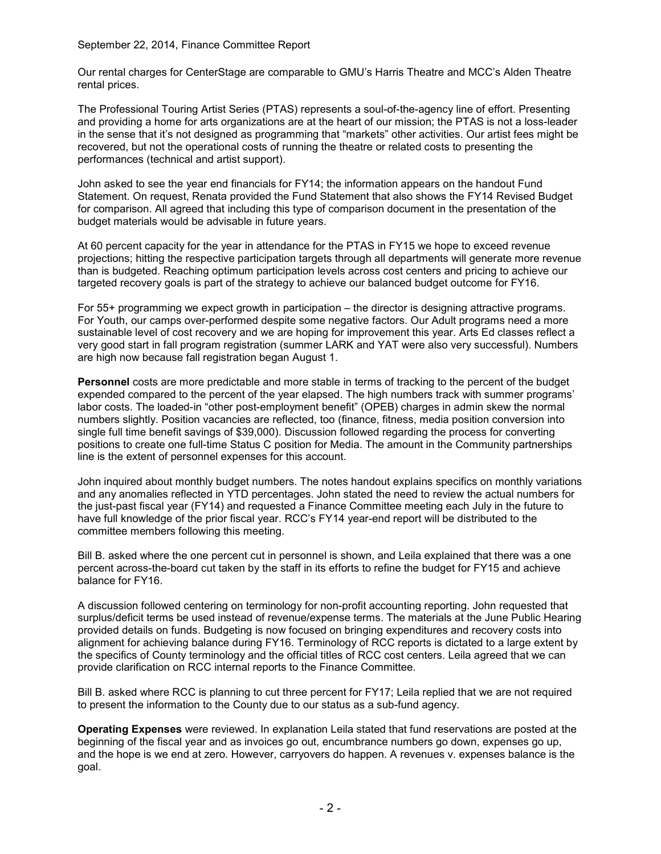September 22, 2014, Finance Committee Report

Our rental charges for CenterStage are comparable to GMU's Harris Theatre and MCC's Alden Theatre rental prices.

The Professional Touring Artist Series (PTAS) represents a soul-of-the-agency line of effort. Presenting and providing a home for arts organizations are at the heart of our mission; the PTAS is not a loss-leader in the sense that it's not designed as programming that "markets" other activities. Our artist fees might be recovered, but not the operational costs of running the theatre or related costs to presenting the performances (technical and artist support).

John asked to see the year end financials for FY14; the information appears on the handout Fund Statement. On request, Renata provided the Fund Statement that also shows the FY14 Revised Budget for comparison. All agreed that including this type of comparison document in the presentation of the budget materials would be advisable in future years.

At 60 percent capacity for the year in attendance for the PTAS in FY15 we hope to exceed revenue projections; hitting the respective participation targets through all departments will generate more revenue than is budgeted. Reaching optimum participation levels across cost centers and pricing to achieve our targeted recovery goals is part of the strategy to achieve our balanced budget outcome for FY16.

For 55+ programming we expect growth in participation – the director is designing attractive programs. For Youth, our camps over-performed despite some negative factors. Our Adult programs need a more sustainable level of cost recovery and we are hoping for improvement this year. Arts Ed classes reflect a very good start in fall program registration (summer LARK and YAT were also very successful). Numbers are high now because fall registration began August 1.

Personnel costs are more predictable and more stable in terms of tracking to the percent of the budget expended compared to the percent of the year elapsed. The high numbers track with summer programs' labor costs. The loaded-in "other post-employment benefit" (OPEB) charges in admin skew the normal numbers slightly. Position vacancies are reflected, too (finance, fitness, media position conversion into single full time benefit savings of \$39,000). Discussion followed regarding the process for converting positions to create one full-time Status C position for Media. The amount in the Community partnerships line is the extent of personnel expenses for this account.

John inquired about monthly budget numbers. The notes handout explains specifics on monthly variations and any anomalies reflected in YTD percentages. John stated the need to review the actual numbers for the just-past fiscal year (FY14) and requested a Finance Committee meeting each July in the future to have full knowledge of the prior fiscal year. RCC's FY14 year-end report will be distributed to the committee members following this meeting.

Bill B. asked where the one percent cut in personnel is shown, and Leila explained that there was a one percent across-the-board cut taken by the staff in its efforts to refine the budget for FY15 and achieve balance for FY16.

A discussion followed centering on terminology for non-profit accounting reporting. John requested that surplus/deficit terms be used instead of revenue/expense terms. The materials at the June Public Hearing provided details on funds. Budgeting is now focused on bringing expenditures and recovery costs into alignment for achieving balance during FY16. Terminology of RCC reports is dictated to a large extent by the specifics of County terminology and the official titles of RCC cost centers. Leila agreed that we can provide clarification on RCC internal reports to the Finance Committee.

Bill B. asked where RCC is planning to cut three percent for FY17; Leila replied that we are not required to present the information to the County due to our status as a sub-fund agency.

Operating Expenses were reviewed. In explanation Leila stated that fund reservations are posted at the beginning of the fiscal year and as invoices go out, encumbrance numbers go down, expenses go up, and the hope is we end at zero. However, carryovers do happen. A revenues v. expenses balance is the goal.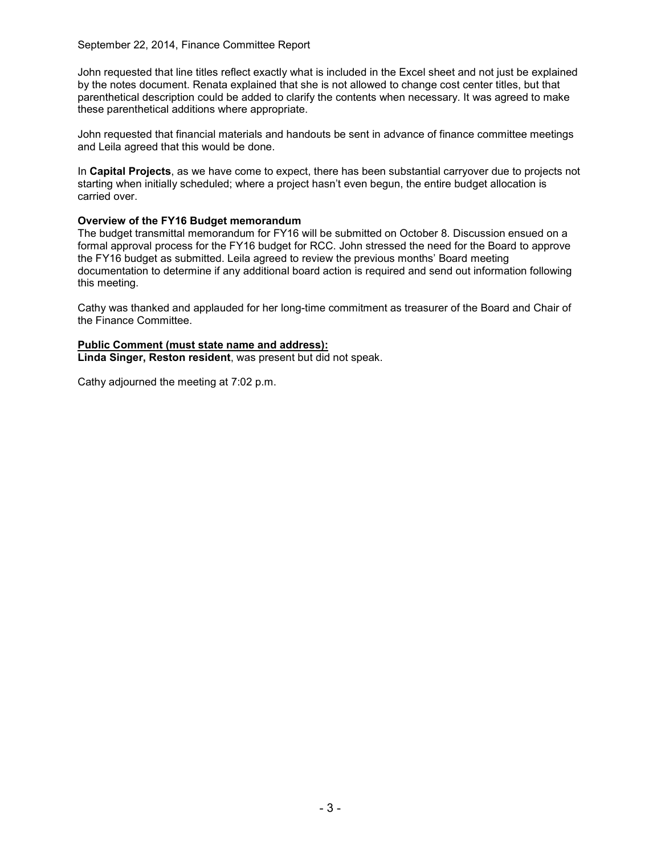September 22, 2014, Finance Committee Report

John requested that line titles reflect exactly what is included in the Excel sheet and not just be explained by the notes document. Renata explained that she is not allowed to change cost center titles, but that parenthetical description could be added to clarify the contents when necessary. It was agreed to make these parenthetical additions where appropriate.

John requested that financial materials and handouts be sent in advance of finance committee meetings and Leila agreed that this would be done.

In Capital Projects, as we have come to expect, there has been substantial carryover due to projects not starting when initially scheduled; where a project hasn't even begun, the entire budget allocation is carried over.

## Overview of the FY16 Budget memorandum

The budget transmittal memorandum for FY16 will be submitted on October 8. Discussion ensued on a formal approval process for the FY16 budget for RCC. John stressed the need for the Board to approve the FY16 budget as submitted. Leila agreed to review the previous months' Board meeting documentation to determine if any additional board action is required and send out information following this meeting.

Cathy was thanked and applauded for her long-time commitment as treasurer of the Board and Chair of the Finance Committee.

## Public Comment (must state name and address): Linda Singer, Reston resident, was present but did not speak.

Cathy adjourned the meeting at 7:02 p.m.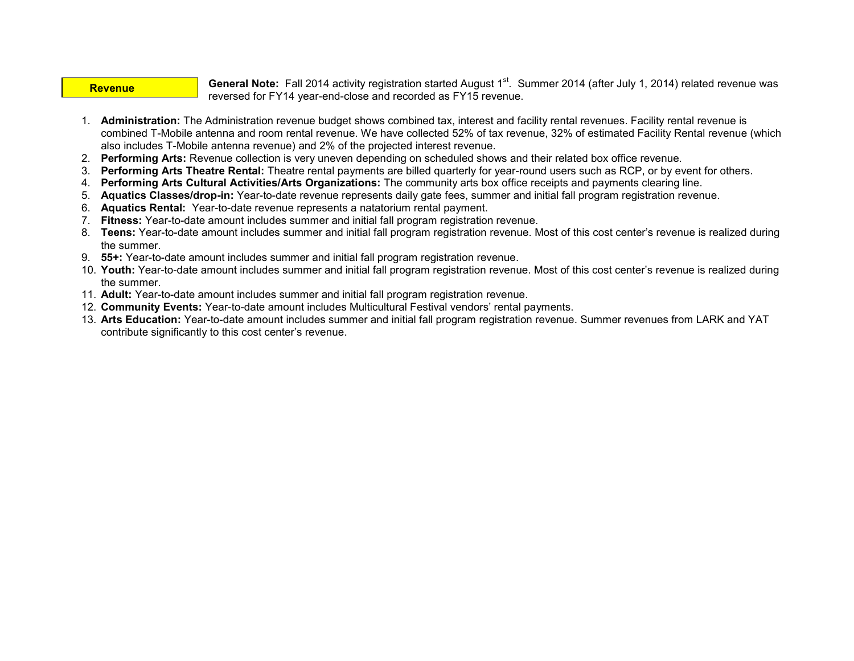#### **Revenue**

General Note: Fall 2014 activity registration started August 1<sup>st</sup>. Summer 2014 (after July 1, 2014) related revenue was reversed for FY14 year-end-close and recorded as FY15 revenue.

- 1. Administration: The Administration revenue budget shows combined tax, interest and facility rental revenues. Facility rental revenue is combined T-Mobile antenna and room rental revenue. We have collected 52% of tax revenue, 32% of estimated Facility Rental revenue (which also includes T-Mobile antenna revenue) and 2% of the projected interest revenue.
- 2. Performing Arts: Revenue collection is very uneven depending on scheduled shows and their related box office revenue.
- 3. Performing Arts Theatre Rental: Theatre rental payments are billed quarterly for year-round users such as RCP, or by event for others.
- 4. Performing Arts Cultural Activities/Arts Organizations: The community arts box office receipts and payments clearing line.
- 5. Aquatics Classes/drop-in: Year-to-date revenue represents daily gate fees, summer and initial fall program registration revenue.
- 6. Aquatics Rental: Year-to-date revenue represents a natatorium rental payment.
- 7. Fitness: Year-to-date amount includes summer and initial fall program registration revenue.
- 8. Teens: Year-to-date amount includes summer and initial fall program registration revenue. Most of this cost center's revenue is realized during the summer.
- 9. 55+: Year-to-date amount includes summer and initial fall program registration revenue.
- 10. Youth: Year-to-date amount includes summer and initial fall program registration revenue. Most of this cost center's revenue is realized during the summer.
- 11. Adult: Year-to-date amount includes summer and initial fall program registration revenue.
- 12. Community Events: Year-to-date amount includes Multicultural Festival vendors' rental payments.
- 13. Arts Education: Year-to-date amount includes summer and initial fall program registration revenue. Summer revenues from LARK and YAT contribute significantly to this cost center's revenue.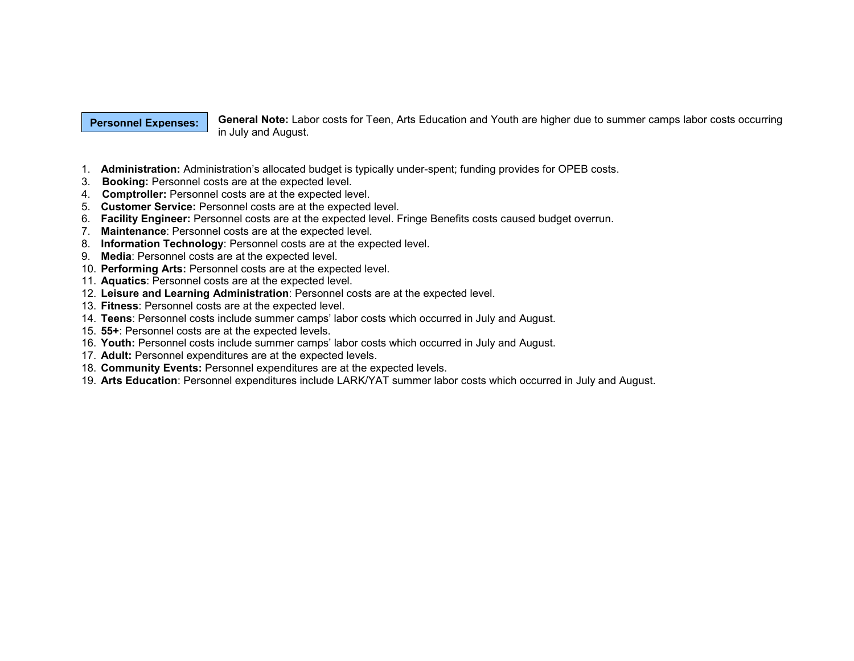#### Personnel Expenses:

General Note: Labor costs for Teen, Arts Education and Youth are higher due to summer camps labor costs occurring in July and August.

- 1. Administration: Administration's allocated budget is typically under-spent; funding provides for OPEB costs.
- 3. Booking: Personnel costs are at the expected level.
- 4. Comptroller: Personnel costs are at the expected level.
- 5. Customer Service: Personnel costs are at the expected level.
- 6. Facility Engineer: Personnel costs are at the expected level. Fringe Benefits costs caused budget overrun.
- 7. Maintenance: Personnel costs are at the expected level.
- 8. Information Technology: Personnel costs are at the expected level.
- 9. Media: Personnel costs are at the expected level.
- 10. Performing Arts: Personnel costs are at the expected level.
- 11. Aquatics: Personnel costs are at the expected level.
- 12. Leisure and Learning Administration: Personnel costs are at the expected level.
- 13. Fitness: Personnel costs are at the expected level.
- 14. Teens: Personnel costs include summer camps' labor costs which occurred in July and August.
- 15. 55+: Personnel costs are at the expected levels.
- 16. Youth: Personnel costs include summer camps' labor costs which occurred in July and August.
- 17. Adult: Personnel expenditures are at the expected levels.
- 18. Community Events: Personnel expenditures are at the expected levels.
- 19. Arts Education: Personnel expenditures include LARK/YAT summer labor costs which occurred in July and August.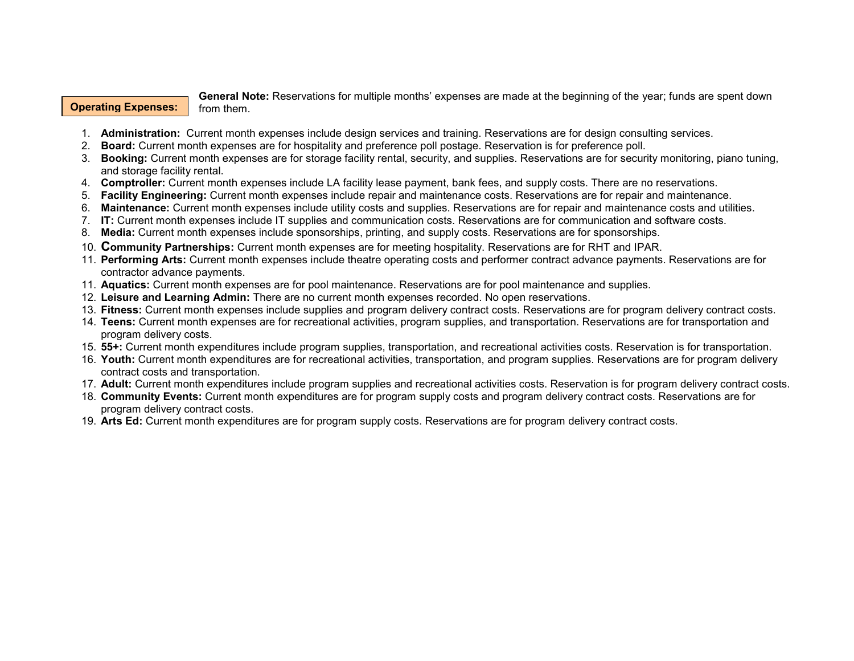### Operating Expenses:

General Note: Reservations for multiple months' expenses are made at the beginning of the year; funds are spent down from them.

- 1. Administration: Current month expenses include design services and training. Reservations are for design consulting services.
- 2. Board: Current month expenses are for hospitality and preference poll postage. Reservation is for preference poll.
- 3. Booking: Current month expenses are for storage facility rental, security, and supplies. Reservations are for security monitoring, piano tuning, and storage facility rental.
- 4. Comptroller: Current month expenses include LA facility lease payment, bank fees, and supply costs. There are no reservations.
- 5. Facility Engineering: Current month expenses include repair and maintenance costs. Reservations are for repair and maintenance.
- 6. Maintenance: Current month expenses include utility costs and supplies. Reservations are for repair and maintenance costs and utilities.
- 7. IT: Current month expenses include IT supplies and communication costs. Reservations are for communication and software costs.
- 8. Media: Current month expenses include sponsorships, printing, and supply costs. Reservations are for sponsorships.
- 10. Community Partnerships: Current month expenses are for meeting hospitality. Reservations are for RHT and IPAR.
- 11. Performing Arts: Current month expenses include theatre operating costs and performer contract advance payments. Reservations are for contractor advance payments.
- 11. Aquatics: Current month expenses are for pool maintenance. Reservations are for pool maintenance and supplies.
- 12. Leisure and Learning Admin: There are no current month expenses recorded. No open reservations.
- 13. Fitness: Current month expenses include supplies and program delivery contract costs. Reservations are for program delivery contract costs.
- 14. Teens: Current month expenses are for recreational activities, program supplies, and transportation. Reservations are for transportation and program delivery costs.
- 15. 55+: Current month expenditures include program supplies, transportation, and recreational activities costs. Reservation is for transportation.
- 16. Youth: Current month expenditures are for recreational activities, transportation, and program supplies. Reservations are for program delivery contract costs and transportation.
- 17. Adult: Current month expenditures include program supplies and recreational activities costs. Reservation is for program delivery contract costs.
- 18. Community Events: Current month expenditures are for program supply costs and program delivery contract costs. Reservations are for program delivery contract costs.
- 19. Arts Ed: Current month expenditures are for program supply costs. Reservations are for program delivery contract costs.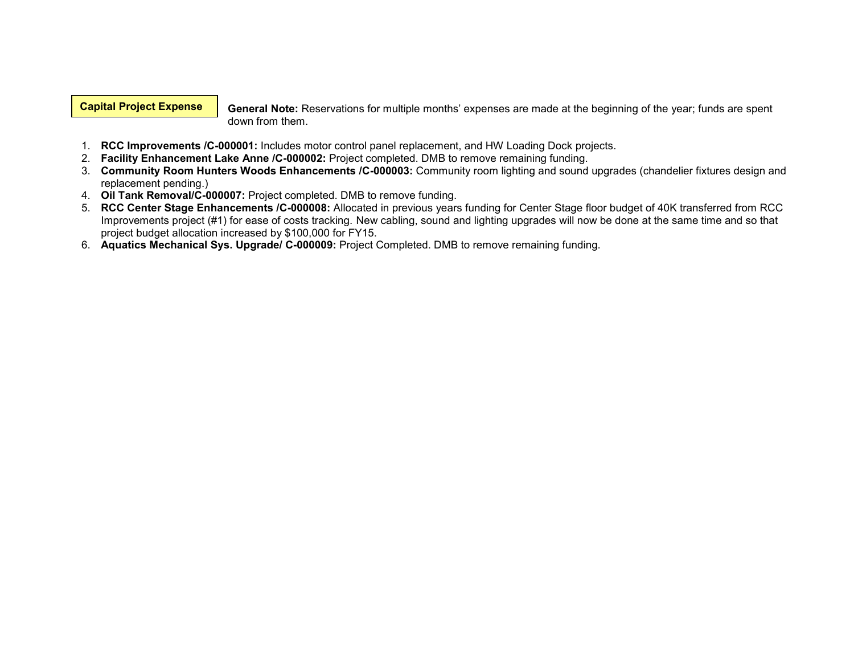## Capital Project Expense

General Note: Reservations for multiple months' expenses are made at the beginning of the year; funds are spent down from them.

- 1. RCC Improvements /C-000001: Includes motor control panel replacement, and HW Loading Dock projects.
- 2. Facility Enhancement Lake Anne /C-000002: Project completed. DMB to remove remaining funding.
- 3. Community Room Hunters Woods Enhancements /C-000003: Community room lighting and sound upgrades (chandelier fixtures design and replacement pending.)
- 4. Oil Tank Removal/C-000007: Project completed. DMB to remove funding.
- 5. RCC Center Stage Enhancements /C-000008: Allocated in previous years funding for Center Stage floor budget of 40K transferred from RCC Improvements project (#1) for ease of costs tracking. New cabling, sound and lighting upgrades will now be done at the same time and so that project budget allocation increased by \$100,000 for FY15.
- 6. Aquatics Mechanical Sys. Upgrade/ C-000009: Project Completed. DMB to remove remaining funding.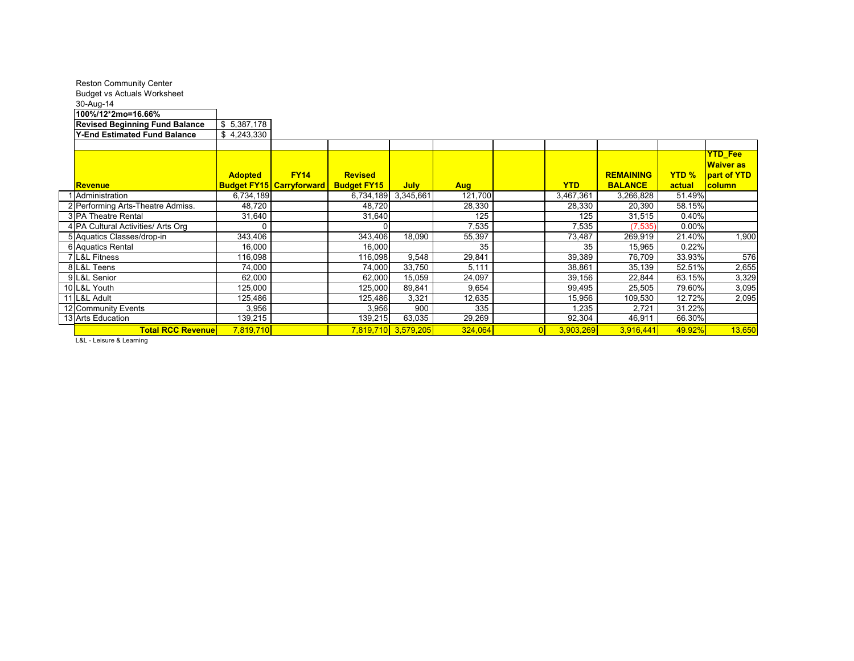| <b>Reston Community Center</b><br><b>Budget vs Actuals Worksheet</b> |                |                                                |                                      |                     |            |            |                                    |                        |                                     |
|----------------------------------------------------------------------|----------------|------------------------------------------------|--------------------------------------|---------------------|------------|------------|------------------------------------|------------------------|-------------------------------------|
| 30-Aug-14<br>100%/12*2mo=16.66%                                      |                |                                                |                                      |                     |            |            |                                    |                        |                                     |
| <b>Revised Beginning Fund Balance</b>                                | \$5,387,178    |                                                |                                      |                     |            |            |                                    |                        |                                     |
| <b>Y-End Estimated Fund Balance</b>                                  | \$4,243,330    |                                                |                                      |                     |            |            |                                    |                        |                                     |
|                                                                      |                |                                                |                                      |                     |            |            |                                    |                        |                                     |
|                                                                      |                |                                                |                                      |                     |            |            |                                    |                        | <b>YTD_Fee</b><br><b>Waiver as</b>  |
| <u> Revenue</u>                                                      | <b>Adopted</b> | <b>FY14</b><br><b>Budget FY15 Carryforward</b> | <b>Revised</b><br><b>Budget FY15</b> | <b>July</b>         | <b>Aug</b> | <b>YTD</b> | <b>REMAINING</b><br><b>BALANCE</b> | <b>YTD %</b><br>actual | <b>part of YTD</b><br><b>column</b> |
| Administration                                                       | 6,734,189      |                                                | 6,734,189                            | 3,345,661           | 121,700    | 3,467,361  | 3,266,828                          | 51.49%                 |                                     |
| 2 Performing Arts-Theatre Admiss.                                    | 48,720         |                                                | 48,720                               |                     | 28,330     | 28,330     | 20,390                             | 58.15%                 |                                     |
| 3 PA Theatre Rental                                                  | 31,640         |                                                | 31,640                               |                     | 125        | 125        | 31,515                             | 0.40%                  |                                     |
| 4 PA Cultural Activities/ Arts Org                                   |                |                                                |                                      |                     | 7,535      | 7,535      | (7, 535)                           | 0.00%                  |                                     |
| 5 Aquatics Classes/drop-in                                           | 343,406        |                                                | 343,406                              | 18,090              | 55,397     | 73,487     | 269,919                            | 21.40%                 | 1,900                               |
| 6 Aquatics Rental                                                    | 16,000         |                                                | 16,000                               |                     | 35         | 35         | 15,965                             | 0.22%                  |                                     |
| 7 L&L Fitness                                                        | 116,098        |                                                | 116,098                              | 9,548               | 29,841     | 39,389     | 76,709                             | 33.93%                 | 576                                 |
| 8 L&L Teens                                                          | 74,000         |                                                | 74,000                               | 33,750              | 5,111      | 38,861     | 35,139                             | 52.51%                 | 2,655                               |
| 9 L&L Senior                                                         | 62,000         |                                                | 62,000                               | 15,059              | 24,097     | 39,156     | 22,844                             | 63.15%                 | 3,329                               |
| 10 L&L Youth                                                         | 125,000        |                                                | 125.000                              | 89,841              | 9,654      | 99,495     | 25,505                             | 79.60%                 | 3,095                               |
| 11 L&L Adult                                                         | 125,486        |                                                | 125,486                              | 3,321               | 12,635     | 15,956     | 109,530                            | 12.72%                 | 2,095                               |
| 12 Community Events                                                  | 3,956          |                                                | 3,956                                | 900                 | 335        | 1,235      | 2,721                              | 31.22%                 |                                     |
| 13 Arts Education                                                    | 139,215        |                                                | 139,215                              | 63,035              | 29,269     | 92,304     | 46,911                             | 66.30%                 |                                     |
| <b>Total RCC Revenue</b>                                             | 7,819,710      |                                                |                                      | 7,819,710 3,579,205 | 324,064    | 3,903,269  | 3,916,441                          | 49.92%                 | 13,650                              |

L&L - Leisure & Learning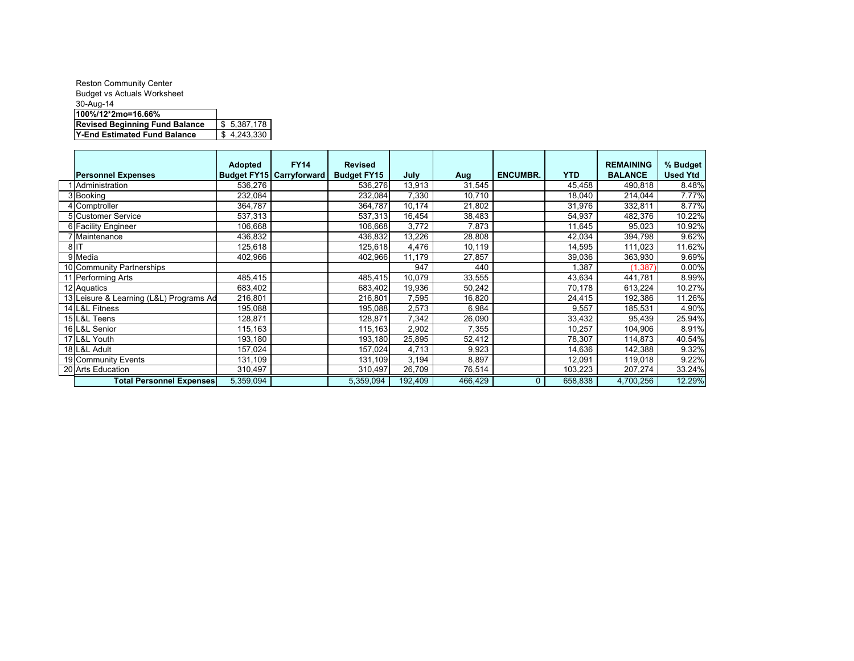| <b>Reston Community Center</b>        |             |
|---------------------------------------|-------------|
| <b>Budget vs Actuals Worksheet</b>    |             |
| 30-Aug-14                             |             |
| 100%/12*2mo=16.66%                    |             |
| <b>Revised Beginning Fund Balance</b> | \$5,387,178 |
| Y-End Estimated Fund Balance          | \$4,243,330 |

|        |                                         | <b>Adopted</b> | <b>FY14</b>                     | <b>Revised</b>     |         |         |                 |            | <b>REMAINING</b> | % Budget        |
|--------|-----------------------------------------|----------------|---------------------------------|--------------------|---------|---------|-----------------|------------|------------------|-----------------|
|        | <b>Personnel Expenses</b>               |                | <b>Budget FY15 Carryforward</b> | <b>Budget FY15</b> | July    | Aug     | <b>ENCUMBR.</b> | <b>YTD</b> | <b>BALANCE</b>   | <b>Used Ytd</b> |
|        | Administration                          | 536,276        |                                 | 536,276            | 13,913  | 31,545  |                 | 45,458     | 490,818          | 8.48%           |
|        | 3 Booking                               | 232,084        |                                 | 232,084            | 7,330   | 10,710  |                 | 18,040     | 214,044          | 7.77%           |
|        | 4 Comptroller                           | 364,787        |                                 | 364,787            | 10,174  | 21,802  |                 | 31,976     | 332,811          | 8.77%           |
|        | 5 Customer Service                      | 537,313        |                                 | 537,313            | 16,454  | 38,483  |                 | 54,937     | 482,376          | 10.22%          |
|        | 6 Facility Engineer                     | 106.668        |                                 | 106,668            | 3.772   | 7,873   |                 | 11,645     | 95,023           | 10.92%          |
|        | 7 Maintenance                           | 436,832        |                                 | 436,832            | 13,226  | 28,808  |                 | 42,034     | 394,798          | 9.62%           |
| $8$ IT |                                         | 125,618        |                                 | 125,618            | 4,476   | 10,119  |                 | 14,595     | 111,023          | 11.62%          |
|        | 9 Media                                 | 402,966        |                                 | 402,966            | 11,179  | 27,857  |                 | 39,036     | 363,930          | 9.69%           |
|        | 10 Community Partnerships               |                |                                 |                    | 947     | 440     |                 | 1,387      | (1, 387)         | 0.00%           |
|        | 11 Performing Arts                      | 485,415        |                                 | 485,415            | 10,079  | 33,555  |                 | 43,634     | 441,781          | 8.99%           |
|        | 12 Aquatics                             | 683,402        |                                 | 683,402            | 19,936  | 50,242  |                 | 70,178     | 613,224          | 10.27%          |
|        | 13 Leisure & Learning (L&L) Programs Ad | 216,801        |                                 | 216,801            | 7,595   | 16,820  |                 | 24,415     | 192,386          | 11.26%          |
|        | 14 L&L Fitness                          | 195,088        |                                 | 195,088            | 2,573   | 6,984   |                 | 9,557      | 185,531          | 4.90%           |
|        | 15 L&L Teens                            | 128,871        |                                 | 128,871            | 7,342   | 26,090  |                 | 33,432     | 95,439           | 25.94%          |
|        | 16 L&L Senior                           | 115,163        |                                 | 115,163            | 2,902   | 7,355   |                 | 10,257     | 104,906          | 8.91%           |
|        | 17 L&L Youth                            | 193,180        |                                 | 193,180            | 25,895  | 52,412  |                 | 78,307     | 114,873          | 40.54%          |
|        | 18 L&L Adult                            | 157,024        |                                 | 157,024            | 4,713   | 9,923   |                 | 14,636     | 142,388          | 9.32%           |
|        | 19 Community Events                     | 131.109        |                                 | 131,109            | 3,194   | 8,897   |                 | 12,091     | 119,018          | 9.22%           |
|        | 20 Arts Education                       | 310,497        |                                 | 310,497            | 26,709  | 76,514  |                 | 103,223    | 207,274          | 33.24%          |
|        | <b>Total Personnel Expenses</b>         | 5,359,094      |                                 | 5,359,094          | 192,409 | 466,429 | $\mathbf{0}$    | 658,838    | 4,700,256        | 12.29%          |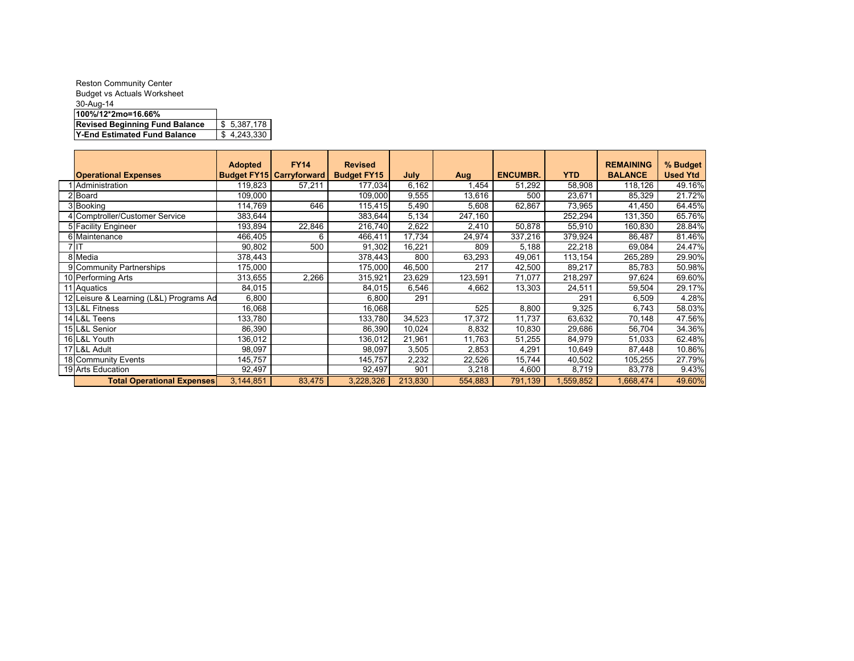| \$5,387,178 |
|-------------|
| \$4,243,330 |
|             |

|                                         | <b>Adopted</b>     | <b>FY14</b>         | <b>Revised</b>     |         |         |                 |            | <b>REMAINING</b> | % Budget        |
|-----------------------------------------|--------------------|---------------------|--------------------|---------|---------|-----------------|------------|------------------|-----------------|
| <b>Operational Expenses</b>             | <b>Budget FY15</b> | <b>Carryforward</b> | <b>Budget FY15</b> | July    | Aug     | <b>ENCUMBR.</b> | <b>YTD</b> | <b>BALANCE</b>   | <b>Used Ytd</b> |
| Administration                          | 119,823            | 57,211              | 177,034            | 6,162   | .454    | 51,292          | 58,908     | 118,126          | 49.16%          |
| 2 Board                                 | 109,000            |                     | 109,000            | 9,555   | 13,616  | 500             | 23,671     | 85,329           | 21.72%          |
| 3 Booking                               | 114,769            | 646                 | 115,415            | 5,490   | 5,608   | 62,867          | 73,965     | 41,450           | 64.45%          |
| 4 Comptroller/Customer Service          | 383,644            |                     | 383,644            | 5,134   | 247,160 |                 | 252,294    | 131,350          | 65.76%          |
| 5 Facility Engineer                     | 193,894            | 22,846              | 216,740            | 2,622   | 2,410   | 50,878          | 55,910     | 160,830          | 28.84%          |
| 6 Maintenance                           | 466,405            | 6                   | 466,411            | 17,734  | 24,974  | 337,216         | 379,924    | 86,487           | 81.46%          |
| 7 IT                                    | 90,802             | 500                 | 91,302             | 16,221  | 809     | 5,188           | 22,218     | 69,084           | 24.47%          |
| 8 Media                                 | 378,443            |                     | 378,443            | 800     | 63,293  | 49,061          | 113,154    | 265,289          | 29.90%          |
| 9 Community Partnerships                | 175,000            |                     | 175,000            | 46,500  | 217     | 42,500          | 89,217     | 85,783           | 50.98%          |
| 10 Performing Arts                      | 313,655            | 2,266               | 315,921            | 23,629  | 123,591 | 71,077          | 218,297    | 97,624           | 69.60%          |
| 11 Aquatics                             | 84,015             |                     | 84,015             | 6,546   | 4,662   | 13,303          | 24,511     | 59,504           | 29.17%          |
| 12 Leisure & Learning (L&L) Programs Ad | 6,800              |                     | 6,800              | 291     |         |                 | 291        | 6,509            | 4.28%           |
| 13 L&L Fitness                          | 16,068             |                     | 16,068             |         | 525     | 8,800           | 9,325      | 6,743            | 58.03%          |
| 14 L&L Teens                            | 133,780            |                     | 133,780            | 34,523  | 17,372  | 11,737          | 63,632     | 70,148           | 47.56%          |
| 15 L&L Senior                           | 86,390             |                     | 86,390             | 10,024  | 8,832   | 10,830          | 29,686     | 56,704           | 34.36%          |
| 16 L&L Youth                            | 136,012            |                     | 136,012            | 21.961  | 11,763  | 51,255          | 84.979     | 51,033           | 62.48%          |
| 17 L&L Adult                            | 98,097             |                     | 98,097             | 3,505   | 2,853   | 4,291           | 10,649     | 87,448           | 10.86%          |
| 18 Community Events                     | 145,757            |                     | 145,757            | 2,232   | 22,526  | 15,744          | 40,502     | 105,255          | 27.79%          |
| 19 Arts Education                       | 92,497             |                     | 92,497             | 901     | 3,218   | 4,600           | 8,719      | 83,778           | 9.43%           |
| <b>Total Operational Expenses</b>       | 3,144,851          | 83,475              | 3,228,326          | 213,830 | 554,883 | 791,139         | 1,559,852  | 1,668,474        | 49.60%          |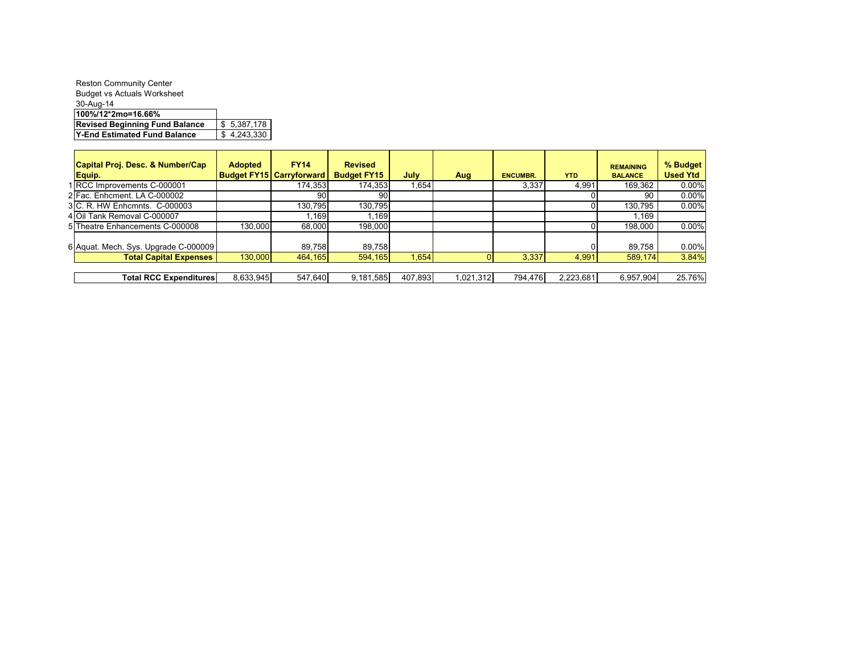| <b>Reston Community Center</b>        |             |
|---------------------------------------|-------------|
| <b>Budget vs Actuals Worksheet</b>    |             |
| 30-Aug-14                             |             |
| 100%/12*2mo=16.66%                    |             |
| <b>Revised Beginning Fund Balance</b> | \$5,387,178 |
| Y-End Estimated Fund Balance          | \$4,243,330 |

| Capital Proj. Desc. & Number/Cap     | <b>Adopted</b> | <b>FY14</b>                     | <b>Revised</b>     |             |          |                 |            | <b>REMAINING</b> | % Budget        |
|--------------------------------------|----------------|---------------------------------|--------------------|-------------|----------|-----------------|------------|------------------|-----------------|
| Equip.                               |                | <b>Budget FY15 Carryforward</b> | <b>Budget FY15</b> | <b>July</b> | Aug      | <b>ENCUMBR.</b> | <b>YTD</b> | <b>BALANCE</b>   | <b>Used Ytd</b> |
| 1 RCC Improvements C-000001          |                | 174.353                         | 174,353            | 1,654       |          | 3.337           | 4.991      | 169.362          | 0.00%           |
| 2 Fac. Enhcment. LA C-000002         |                | 90                              | 90                 |             |          |                 |            | 90               | $0.00\%$        |
| 3 C. R. HW Enhcmnts. C-000003        |                | 130.795                         | 130.795            |             |          |                 |            | 130.795          | $0.00\%$        |
| 4 Oil Tank Removal C-000007          |                | .169                            | l.169              |             |          |                 |            | .169             |                 |
| 5 Theatre Enhancements C-000008      | 130.000        | 68,000                          | 198,000            |             |          |                 |            | 198,000          | 0.00%           |
| 6 Aquat. Mech. Sys. Upgrade C-000009 |                | 89,758                          | 89,758             |             |          |                 |            | 89,758           | 0.00%           |
| <b>Total Capital Expenses</b>        | 130,000        | 464,165                         | 594,165            | 1,654       |          | 3,337           | 4,991      | 589,174          | 3.84%           |
|                                      |                |                                 |                    |             |          |                 |            |                  |                 |
| <b>Total RCC Expenditures</b>        | 8.633.945      | 547.640                         | 9.181.585          | 407.893     | .021.312 | 794.476         | 2.223.681  | 6.957.904        | 25.76%          |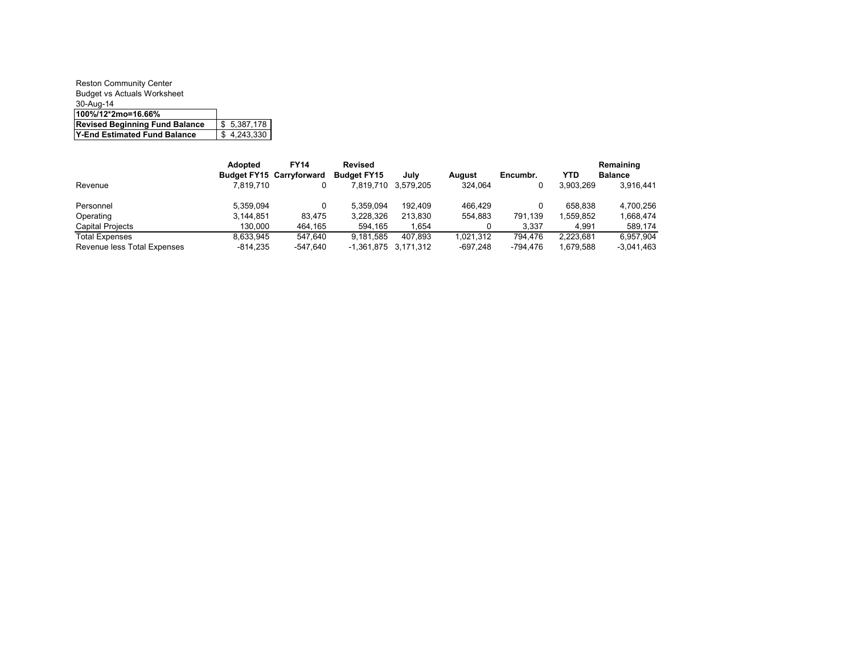| <b>Reston Community Center</b>        |             |
|---------------------------------------|-------------|
| <b>Budget vs Actuals Worksheet</b>    |             |
| 30-Aug-14                             |             |
| 100%/12*2mo=16.66%                    |             |
| <b>Revised Beginning Fund Balance</b> | \$5,387,178 |
| Y-End Estimated Fund Balance          | \$4,243,330 |

|                             | <b>Adopted</b> | <b>FY14</b>                     | <b>Revised</b>       |                     |           |          |           | Remaining      |
|-----------------------------|----------------|---------------------------------|----------------------|---------------------|-----------|----------|-----------|----------------|
|                             |                | <b>Budget FY15 Carryforward</b> | <b>Budget FY15</b>   | Julv                | August    | Encumbr. | YTD       | <b>Balance</b> |
| Revenue                     | 7.819.710      |                                 |                      | 7,819,710 3,579,205 | 324.064   |          | 3.903.269 | 3,916,441      |
| Personnel                   | 5,359,094      |                                 | 5.359.094            | 192.409             | 466.429   |          | 658.838   | 4.700.256      |
| Operating                   | 3.144.851      | 83.475                          | 3.228.326            | 213.830             | 554.883   | 791.139  | .559.852  | 1.668.474      |
| <b>Capital Projects</b>     | 130.000        | 464.165                         | 594.165              | 1.654               |           | 3.337    | 4.991     | 589.174        |
| <b>Total Expenses</b>       | 8,633,945      | 547.640                         | 9.181.585            | 407.893             | 1.021.312 | 794.476  | 2.223.681 | 6.957.904      |
| Revenue less Total Expenses | $-814.235$     | -547.640                        | -1,361,875 3,171,312 |                     | -697.248  | -794.476 | 1.679.588 | $-3.041.463$   |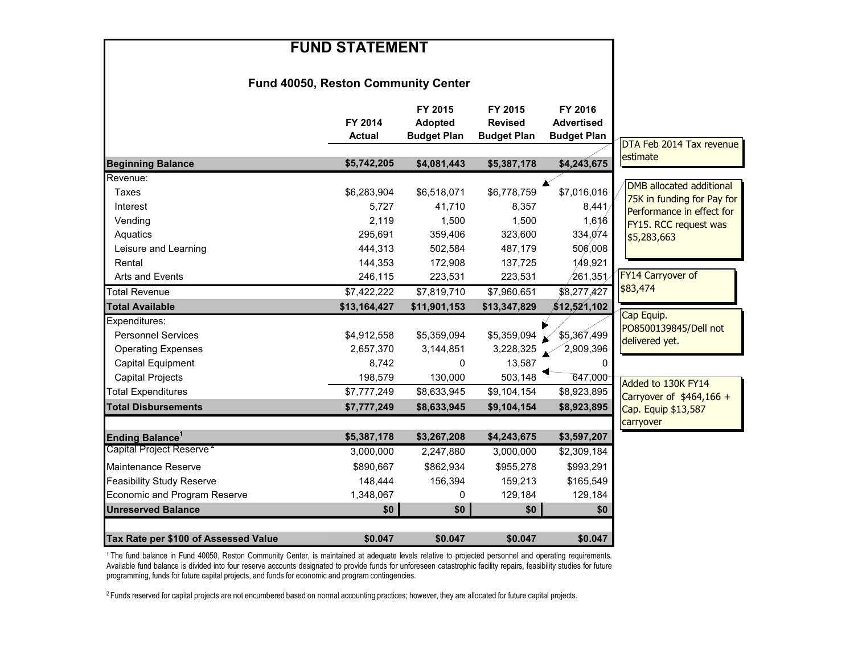| <b>FUND STATEMENT</b>                      |                          |                                                 |                                                 |                                                    |                                                         |
|--------------------------------------------|--------------------------|-------------------------------------------------|-------------------------------------------------|----------------------------------------------------|---------------------------------------------------------|
| <b>Fund 40050, Reston Community Center</b> |                          |                                                 |                                                 |                                                    |                                                         |
|                                            | FY 2014<br><b>Actual</b> | FY 2015<br><b>Adopted</b><br><b>Budget Plan</b> | FY 2015<br><b>Revised</b><br><b>Budget Plan</b> | FY 2016<br><b>Advertised</b><br><b>Budget Plan</b> | DTA Feb 2014 Tax revenue                                |
| <b>Beginning Balance</b>                   | \$5,742,205              | \$4,081,443                                     | \$5,387,178                                     | \$4,243,675                                        | estimate                                                |
| Revenue:                                   |                          |                                                 |                                                 |                                                    |                                                         |
| Taxes                                      | \$6,283,904              | \$6,518,071                                     | \$6,778,759                                     | \$7,016,016                                        | <b>DMB</b> allocated additional                         |
| Interest                                   | 5,727                    | 41,710                                          | 8,357                                           | 8,441/                                             | 75K in funding for Pay for<br>Performance in effect for |
| Vending                                    | 2,119                    | 1,500                                           | 1,500                                           | 1,616                                              | FY15. RCC request was                                   |
| Aquatics                                   | 295,691                  | 359,406                                         | 323,600                                         | 334,074                                            | \$5,283,663                                             |
| Leisure and Learning                       | 444,313                  | 502,584                                         | 487,179                                         | 506,008                                            |                                                         |
| Rental                                     | 144,353                  | 172,908                                         | 137,725                                         | 149,921                                            |                                                         |
| Arts and Events                            | 246,115                  | 223,531                                         | 223,531                                         | $\sqrt{261,351}$                                   | FY14 Carryover of                                       |
| <b>Total Revenue</b>                       | \$7,422,222              | \$7,819,710                                     | \$7,960,651                                     | \$8,277,427                                        | \$83,474                                                |
| <b>Total Available</b>                     | \$13,164,427             | \$11,901,153                                    | \$13,347,829                                    | \$12,521,102                                       |                                                         |
| Expenditures:                              |                          |                                                 |                                                 |                                                    | Cap Equip.<br>PO8500139845/Dell not                     |
| <b>Personnel Services</b>                  | \$4,912,558              | \$5,359,094                                     | \$5,359,094                                     | \$5,367,499                                        | delivered yet.                                          |
| <b>Operating Expenses</b>                  | 2,657,370                | 3,144,851                                       | 3,228,325                                       | 2,909,396                                          |                                                         |
| <b>Capital Equipment</b>                   | 8,742                    | 0                                               | 13,587                                          | 0                                                  |                                                         |
| <b>Capital Projects</b>                    | 198,579                  | 130,000                                         | 503,148                                         | 647,000                                            | Added to 130K FY14                                      |
| <b>Total Expenditures</b>                  | \$7,777,249              | \$8,633,945                                     | \$9,104,154                                     | \$8,923,895                                        | Carryover of $$464,166 +$                               |
| <b>Total Disbursements</b>                 | \$7,777,249              | \$8,633,945                                     | \$9,104,154                                     | \$8,923,895                                        | Cap. Equip \$13,587                                     |
|                                            |                          |                                                 |                                                 |                                                    | carryover                                               |
| Ending Balance <sup>1</sup>                | \$5,387,178              | \$3,267,208                                     | \$4,243,675                                     | \$3,597,207                                        |                                                         |
| Capital Project Reserve <sup>2</sup>       | 3,000,000                | 2,247,880                                       | 3,000,000                                       | \$2,309,184                                        |                                                         |
| Maintenance Reserve                        | \$890.667                | \$862,934                                       | \$955,278                                       | \$993,291                                          |                                                         |
| <b>Feasibility Study Reserve</b>           | 148,444                  | 156,394                                         | 159,213                                         | \$165,549                                          |                                                         |
| Economic and Program Reserve               | 1,348,067                | 0                                               | 129,184                                         | 129,184                                            |                                                         |
| <b>Unreserved Balance</b>                  | \$0                      | \$0                                             | \$0                                             | \$0                                                |                                                         |
|                                            |                          |                                                 |                                                 |                                                    |                                                         |
| Tax Rate per \$100 of Assessed Value       | \$0.047                  | \$0.047                                         | \$0.047                                         | \$0.047                                            |                                                         |

<sup>1</sup> The fund balance in Fund 40050, Reston Community Center, is maintained at adequate levels relative to projected personnel and operating requirements. Available fund balance is divided into four reserve accounts designated to provide funds for unforeseen catastrophic facility repairs, feasibility studies for future programming, funds for future capital projects, and funds for economic and program contingencies.

<sup>2</sup> Funds reserved for capital projects are not encumbered based on normal accounting practices; however, they are allocated for future capital projects.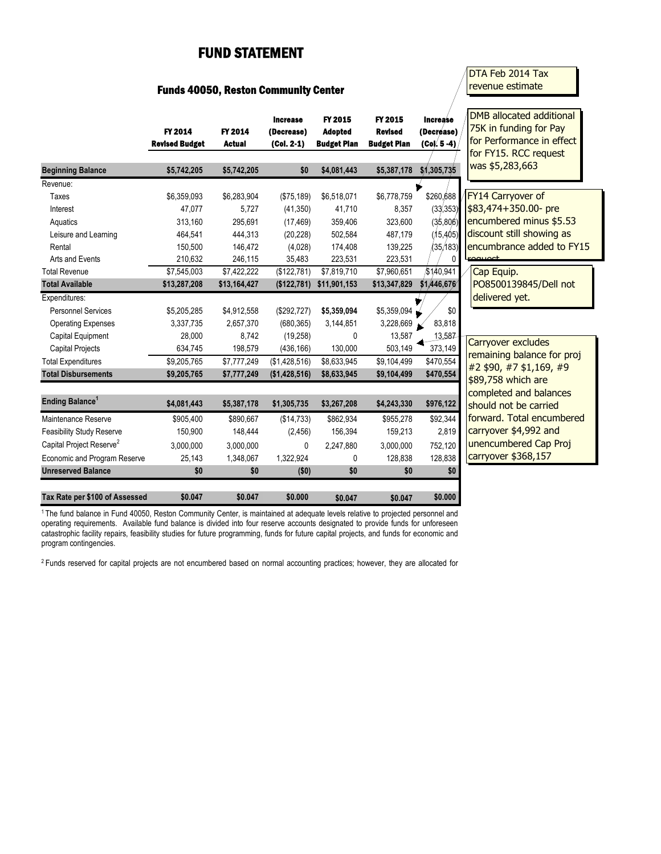## FUND STATEMENT

## Funds 40050, Reston Community Center

## DTA Feb 2014 Tax revenue estimate

|                                      | FY 2014<br><b>Revised Budget</b> | FY 2014<br><b>Actual</b> | <b>Increase</b><br>(Decrease)<br>$(Col. 2-1)$ | FY 2015<br><b>Adopted</b><br><b>Budget Plan</b> | FY 2015<br><b>Revised</b><br><b>Budget Plan</b> | <b>Increase</b><br>(Decrease)<br>(Col. 5 -4) | DMB allocated additional<br>75K in funding for Pay<br>for Performance in effect<br>for FY15. RCC request |
|--------------------------------------|----------------------------------|--------------------------|-----------------------------------------------|-------------------------------------------------|-------------------------------------------------|----------------------------------------------|----------------------------------------------------------------------------------------------------------|
| <b>Beginning Balance</b>             | \$5,742,205                      | \$5,742,205              | \$0                                           | \$4,081,443                                     | \$5,387,178                                     | \$1,305,735                                  | was \$5,283,663                                                                                          |
| Revenue:                             |                                  |                          |                                               |                                                 |                                                 |                                              |                                                                                                          |
| Taxes                                | \$6,359,093                      | \$6,283,904              | (\$75,189)                                    | \$6,518,071                                     | \$6,778,759                                     | \$260,688                                    | FY14 Carryover of                                                                                        |
| Interest                             | 47,077                           | 5,727                    | (41, 350)                                     | 41,710                                          | 8,357                                           | (33/353)                                     | \$83,474+350.00- pre                                                                                     |
| Aquatics                             | 313,160                          | 295,691                  | (17, 469)                                     | 359,406                                         | 323,600                                         | (35,806)                                     | encumbered minus \$5.53                                                                                  |
| Leisure and Learning                 | 464,541                          | 444,313                  | (20, 228)                                     | 502,584                                         | 487,179                                         | (15, 405)                                    | discount still showing as                                                                                |
| Rental                               | 150,500                          | 146,472                  | (4,028)                                       | 174,408                                         | 139,225                                         | (35/183)                                     | encumbrance added to FY15                                                                                |
| Arts and Events                      | 210,632                          | 246,115                  | 35,483                                        | 223,531                                         | 223,531                                         | 0                                            | +ممسمم:                                                                                                  |
| <b>Total Revenue</b>                 | \$7,545,003                      | \$7,422,222              | (\$122,781)                                   | \$7,819,710                                     | \$7,960,651                                     | $\sqrt{$140,941}$                            | Cap Equip.                                                                                               |
| <b>Total Available</b>               | \$13,287,208                     | \$13,164,427             | (\$122,781)                                   | \$11,901,153                                    | \$13,347,829                                    | \$1,446,676                                  | PO8500139845/Dell not                                                                                    |
| Expenditures:                        |                                  |                          |                                               |                                                 |                                                 |                                              | delivered yet.                                                                                           |
| <b>Personnel Services</b>            | \$5,205,285                      | \$4,912,558              | (\$292,727)                                   | \$5,359,094                                     | \$5,359,094                                     | \$0                                          |                                                                                                          |
| <b>Operating Expenses</b>            | 3,337,735                        | 2,657,370                | (680, 365)                                    | 3,144,851                                       | 3,228,669                                       | 83,818                                       |                                                                                                          |
| Capital Equipment                    | 28,000                           | 8,742                    | (19, 258)                                     | $\Omega$                                        | 13,587                                          | 13,587                                       | Carryover excludes                                                                                       |
| <b>Capital Projects</b>              | 634,745                          | 198,579                  | (436, 166)                                    | 130,000                                         | 503,149                                         | 373,149                                      | remaining balance for proj                                                                               |
| <b>Total Expenditures</b>            | \$9,205,765                      | \$7,777,249              | (\$1,428,516)                                 | \$8,633,945                                     | \$9,104,499                                     | \$470,554                                    | #2 \$90, #7 \$1,169, #9                                                                                  |
| <b>Total Disbursements</b>           | \$9,205,765                      | \$7,777,249              | (\$1,428,516)                                 | \$8,633,945                                     | \$9,104,499                                     | \$470,554                                    | \$89,758 which are                                                                                       |
|                                      |                                  |                          |                                               |                                                 |                                                 |                                              | completed and balances                                                                                   |
| Ending Balance <sup>1</sup>          | \$4,081,443                      | \$5,387,178              | \$1,305,735                                   | \$3,267,208                                     | \$4,243,330                                     | \$976,122                                    | should not be carried                                                                                    |
| Maintenance Reserve                  | \$905,400                        | \$890,667                | (\$14,733)                                    | \$862,934                                       | \$955,278                                       | \$92,344                                     | forward. Total encumbered                                                                                |
| <b>Feasibility Study Reserve</b>     | 150,900                          | 148,444                  | (2, 456)                                      | 156,394                                         | 159,213                                         | 2,819                                        | carryover \$4,992 and                                                                                    |
| Capital Project Reserve <sup>2</sup> | 3,000,000                        | 3,000,000                | 0                                             | 2,247,880                                       | 3,000,000                                       | 752,120                                      | unencumbered Cap Proj                                                                                    |
| Economic and Program Reserve         | 25,143                           | 1,348,067                | 1,322,924                                     | 0                                               | 128,838                                         | 128,838                                      | carryover \$368,157                                                                                      |
| <b>Unreserved Balance</b>            | \$0                              | \$0                      | (50)                                          | \$0                                             | \$0                                             | \$0                                          |                                                                                                          |
| Tax Rate per \$100 of Assessed       | \$0.047                          | \$0.047                  | \$0.000                                       | \$0.047                                         | \$0.047                                         | \$0.000                                      |                                                                                                          |

<sup>1</sup> The fund balance in Fund 40050, Reston Community Center, is maintained at adequate levels relative to projected personnel and operating requirements. Available fund balance is divided into four reserve accounts designated to provide funds for unforeseen catastrophic facility repairs, feasibility studies for future programming, funds for future capital projects, and funds for economic and program contingencies.

<sup>2</sup> Funds reserved for capital projects are not encumbered based on normal accounting practices; however, they are allocated for